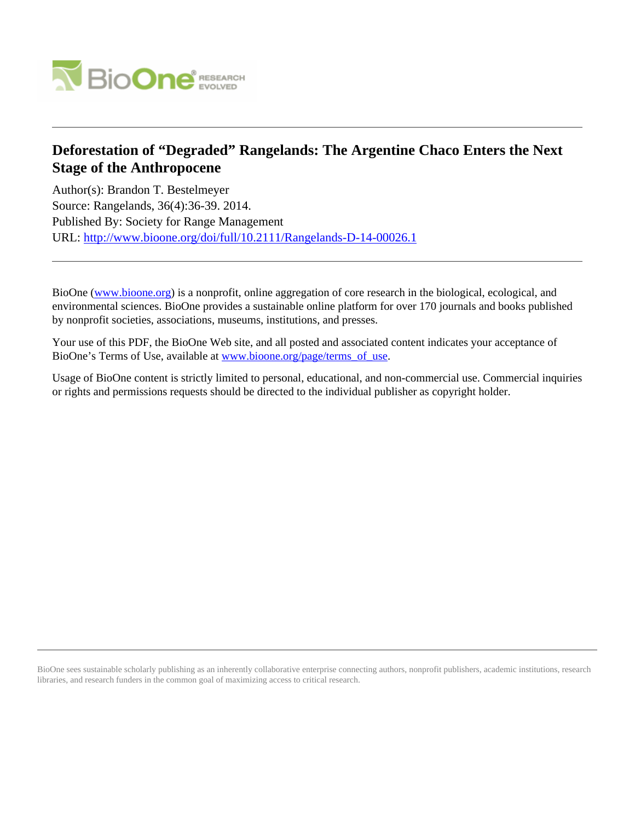

## **Deforestation of "Degraded" Rangelands: The Argentine Chaco Enters the Next Stage of the Anthropocene**

Author(s): Brandon T. Bestelmeyer Source: Rangelands, 36(4):36-39. 2014. Published By: Society for Range Management URL: <http://www.bioone.org/doi/full/10.2111/Rangelands-D-14-00026.1>

BioOne [\(www.bioone.org\)](http://www.bioone.org) is a nonprofit, online aggregation of core research in the biological, ecological, and environmental sciences. BioOne provides a sustainable online platform for over 170 journals and books published by nonprofit societies, associations, museums, institutions, and presses.

Your use of this PDF, the BioOne Web site, and all posted and associated content indicates your acceptance of BioOne's Terms of Use, available at [www.bioone.org/page/terms\\_of\\_use.](http://www.bioone.org/page/terms_of_use)

Usage of BioOne content is strictly limited to personal, educational, and non-commercial use. Commercial inquiries or rights and permissions requests should be directed to the individual publisher as copyright holder.

BioOne sees sustainable scholarly publishing as an inherently collaborative enterprise connecting authors, nonprofit publishers, academic institutions, research libraries, and research funders in the common goal of maximizing access to critical research.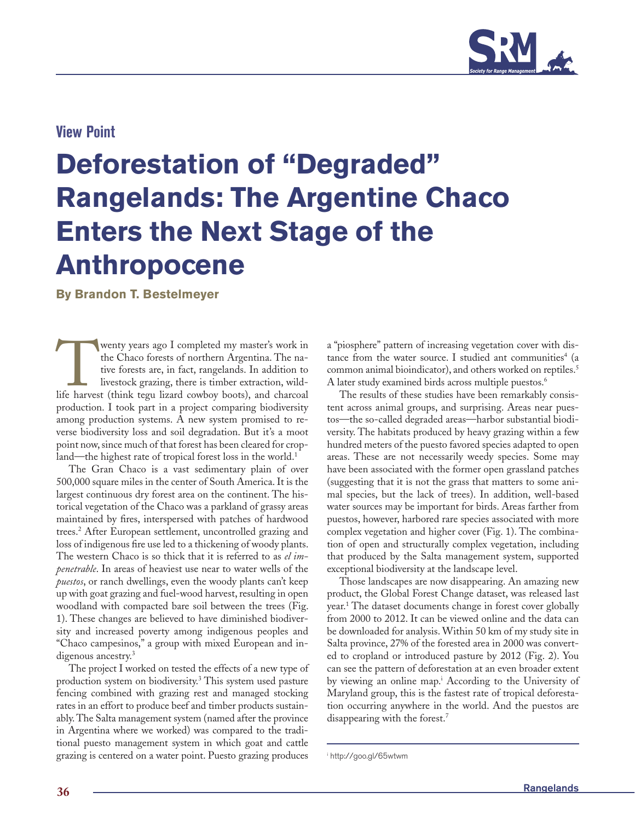

### **View Point**

# **Deforestation of "Degraded" Rangelands: The Argentine Chaco Enters the Next Stage of the Anthropocene**

**By Brandon T. Bestelmeyer**

**Twenty years ago I completed my master's work in** the Chaco forests of northern Argentina. The native forests are, in fact, rangelands. In addition to livestock grazing, there is timber extraction, wildlife harvest (think the Chaco forests of northern Argentina. The native forests are, in fact, rangelands. In addition to livestock grazing, there is timber extraction, wildproduction. I took part in a project comparing biodiversity among production systems. A new system promised to reverse biodiversity loss and soil degradation. But it's a moot point now, since much of that forest has been cleared for cropland—the highest rate of tropical forest loss in the world.<sup>1</sup>

The Gran Chaco is a vast sedimentary plain of over 500,000 square miles in the center of South America. It is the largest continuous dry forest area on the continent. The historical vegetation of the Chaco was a parkland of grassy areas maintained by fires, interspersed with patches of hardwood trees.2 After European settlement, uncontrolled grazing and loss of indigenous fire use led to a thickening of woody plants. The western Chaco is so thick that it is referred to as *el impenetrable*. In areas of heaviest use near to water wells of the *puestos*, or ranch dwellings, even the woody plants can't keep up with goat grazing and fuel-wood harvest, resulting in open woodland with compacted bare soil between the trees (Fig. 1). These changes are believed to have diminished biodiversity and increased poverty among indigenous peoples and "Chaco campesinos," a group with mixed European and indigenous ancestry.<sup>3</sup>

The project I worked on tested the effects of a new type of production system on biodiversity.3 This system used pasture fencing combined with grazing rest and managed stocking rates in an effort to produce beef and timber products sustainably. The Salta management system (named after the province in Argentina where we worked) was compared to the traditional puesto management system in which goat and cattle grazing is centered on a water point. Puesto grazing produces

a "piosphere" pattern of increasing vegetation cover with distance from the water source. I studied ant communities<sup>4</sup> (a common animal bioindicator), and others worked on reptiles.<sup>5</sup> A later study examined birds across multiple puestos.<sup>6</sup>

The results of these studies have been remarkably consistent across animal groups, and surprising. Areas near puestos—the so-called degraded areas—harbor substantial biodiversity. The habitats produced by heavy grazing within a few hundred meters of the puesto favored species adapted to open areas. These are not necessarily weedy species. Some may have been associated with the former open grassland patches (suggesting that it is not the grass that matters to some animal species, but the lack of trees). In addition, well-based water sources may be important for birds. Areas farther from puestos, however, harbored rare species associated with more complex vegetation and higher cover (Fig. 1). The combination of open and structurally complex vegetation, including that produced by the Salta management system, supported exceptional biodiversity at the landscape level.

Those landscapes are now disappearing. An amazing new product, the Global Forest Change dataset, was released last year.1 The dataset documents change in forest cover globally from 2000 to 2012. It can be viewed online and the data can be downloaded for analysis. Within 50 km of my study site in Salta province, 27% of the forested area in 2000 was converted to cropland or introduced pasture by 2012 (Fig. 2). You can see the pattern of deforestation at an even broader extent by viewing an online map.<sup>i</sup> According to the University of Maryland group, this is the fastest rate of tropical deforestation occurring anywhere in the world. And the puestos are disappearing with the forest.7

i http://goo.gl/65wtwm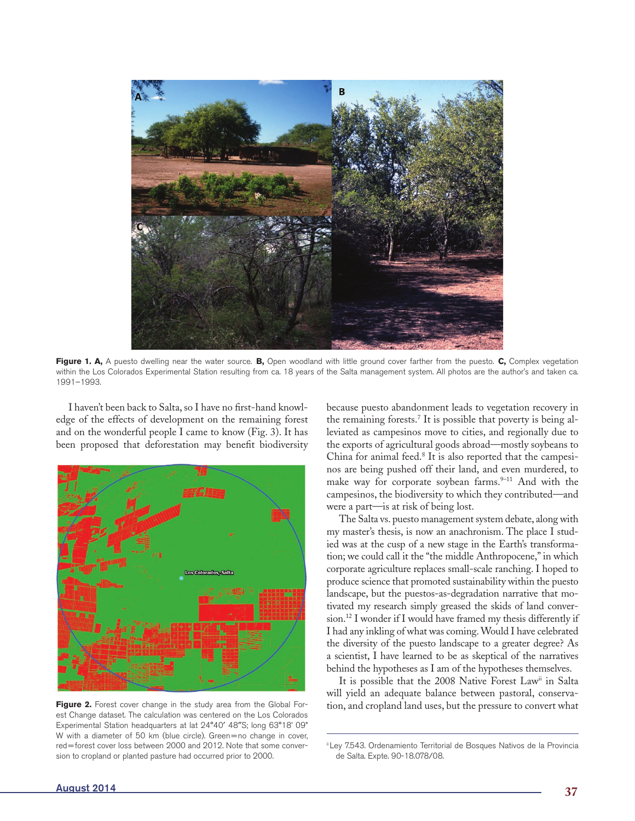

**Figure 1. A,** A puesto dwelling near the water source. **B,** Open woodland with little ground cover farther from the puesto. **C,** Complex vegetation within the Los Colorados Experimental Station resulting from ca. 18 years of the Salta management system. All photos are the author's and taken ca. 1991–1993.

I haven't been back to Salta, so I have no first-hand knowledge of the effects of development on the remaining forest and on the wonderful people I came to know (Fig. 3). It has been proposed that deforestation may benefit biodiversity



Figure 2. Forest cover change in the study area from the Global Forest Change dataset. The calculation was centered on the Los Colorados Experimental Station headquarters at lat 24°40′ 48″S; long 63°18' 09" W with a diameter of 50 km (blue circle). Green=no change in cover, red=forest cover loss between 2000 and 2012. Note that some conversion to cropland or planted pasture had occurred prior to 2000.

because puesto abandonment leads to vegetation recovery in the remaining forests.7 It is possible that poverty is being alleviated as campesinos move to cities, and regionally due to the exports of agricultural goods abroad—mostly soybeans to China for animal feed.<sup>8</sup> It is also reported that the campesinos are being pushed off their land, and even murdered, to make way for corporate soybean farms.<sup>9-11</sup> And with the campesinos, the biodiversity to which they contributed—and were a part—is at risk of being lost.

The Salta vs. puesto management system debate, along with my master's thesis, is now an anachronism. The place I studied was at the cusp of a new stage in the Earth's transformation; we could call it the "the middle Anthropocene," in which corporate agriculture replaces small-scale ranching. I hoped to produce science that promoted sustainability within the puesto landscape, but the puestos-as-degradation narrative that motivated my research simply greased the skids of land conversion.12 I wonder if I would have framed my thesis differently if I had any inkling of what was coming. Would I have celebrated the diversity of the puesto landscape to a greater degree? As a scientist, I have learned to be as skeptical of the narratives behind the hypotheses as I am of the hypotheses themselves.

It is possible that the 2008 Native Forest Law<sup>ii</sup> in Salta will yield an adequate balance between pastoral, conservation, and cropland land uses, but the pressure to convert what

iiLey 7.543. Ordenamiento Territorial de Bosques Nativos de la Provincia de Salta. Expte. 90-18.078/08.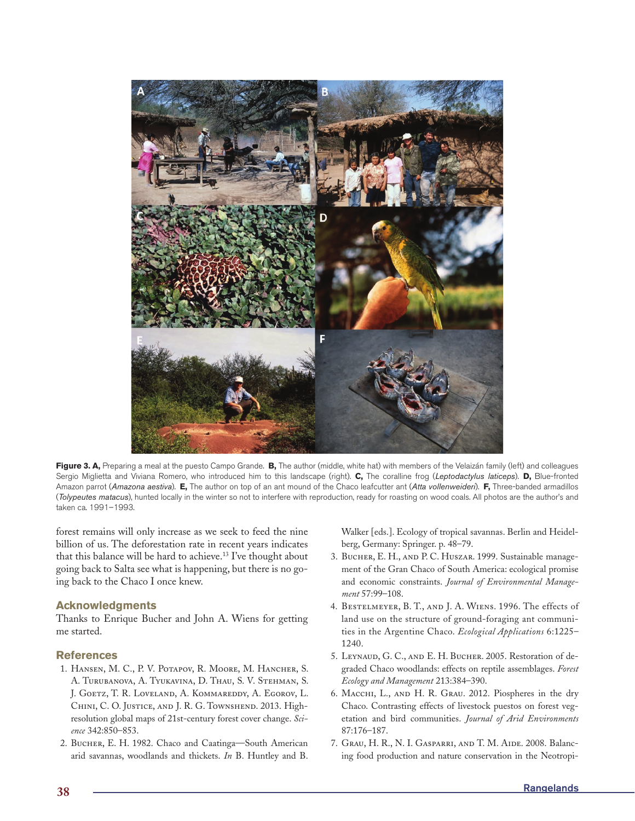

**Figure 3. A,** Preparing a meal at the puesto Campo Grande. **B,** The author (middle, white hat) with members of the Velaizán family (left) and colleagues Sergio Miglietta and Viviana Romero, who introduced him to this landscape (right). **C,** The coralline frog (*Leptodactylus laticeps*). **D,** Blue-fronted Amazon parrot (*Amazona aestiva*). **E,** The author on top of an ant mound of the Chaco leafcutter ant (*Atta vollenweideri*). **F,** Three-banded armadillos (*Tolypeutes matacus*), hunted locally in the winter so not to interfere with reproduction, ready for roasting on wood coals. All photos are the author's and taken ca. 1991–1993.

forest remains will only increase as we seek to feed the nine billion of us. The deforestation rate in recent years indicates that this balance will be hard to achieve.<sup>13</sup> I've thought about going back to Salta see what is happening, but there is no going back to the Chaco I once knew.

### **Acknowledgments**

Thanks to Enrique Bucher and John A. Wiens for getting me started.

### **References**

- 1. Hansen, M. C., P. V. Potapov, R. Moore, M. Hancher, S. A. Turubanova, A. Tyukavina, D. Thau, S. V. Stehman, S. J. Goetz, T. R. Loveland, A. Kommareddy, A. Egorov, L. Chini, C. O. Justice, and J. R. G. Townshend. 2013. Highresolution global maps of 21st-century forest cover change. *Science* 342:850–853.
- 2. Bucher, E. H. 1982. Chaco and Caatinga—South American arid savannas, woodlands and thickets. *In* B. Huntley and B.

Walker [eds.]. Ecology of tropical savannas. Berlin and Heidelberg, Germany: Springer. p. 48–79.

- 3. Bucher, E. H., and P. C. Huszar. 1999. Sustainable management of the Gran Chaco of South America: ecological promise and economic constraints. *Journal of Environmental Management* 57:99–108.
- 4. Bestelmeyer, B. T., and J. A. Wiens. 1996. The effects of land use on the structure of ground-foraging ant communities in the Argentine Chaco. *Ecological Applications* 6:1225– 1240.
- 5. LEYNAUD, G. C., AND E. H. BUCHER. 2005. Restoration of degraded Chaco woodlands: effects on reptile assemblages. *Forest Ecology and Management* 213:384–390.
- 6. Macchi, L., and H. R. Grau. 2012. Piospheres in the dry Chaco. Contrasting effects of livestock puestos on forest vegetation and bird communities. *Journal of Arid Environments* 87:176–187.
- 7. Grau, H. R., N. I. Gasparri, and T. M. Aide. 2008. Balancing food production and nature conservation in the Neotropi-